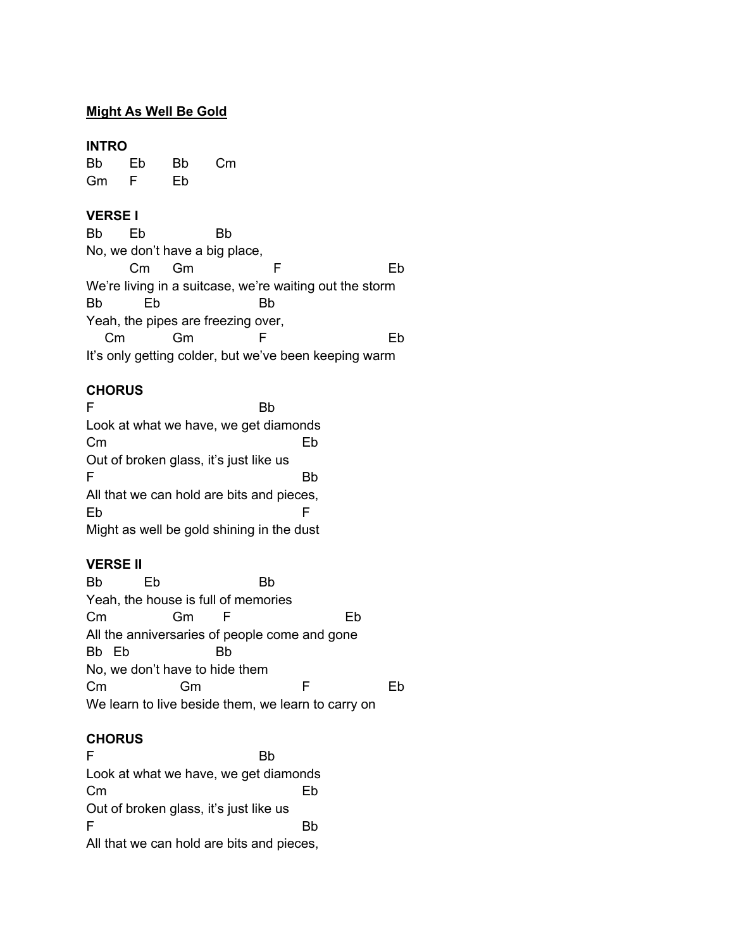## **Might As Well Be Gold**

#### **INTRO**

Bb Eb Bb Cm Gm F Eb

### **VERSE I**

Bb Eb Bb No, we don't have a big place, Cm Gm F Eb We're living in a suitcase, we're waiting out the storm Bb Eb Bb Yeah, the pipes are freezing over, Cm Gm F Eb It's only getting colder, but we've been keeping warm

# **CHORUS**

F Bb Look at what we have, we get diamonds Cm Eb Out of broken glass, it's just like us F Bb All that we can hold are bits and pieces, Eb F Might as well be gold shining in the dust

# **VERSE II**

Bb Eb Bb Yeah, the house is full of memories Cm Gm F Eb All the anniversaries of people come and gone Bb Eb Bb No, we don't have to hide them Cm Gm F Eb We learn to live beside them, we learn to carry on

### **CHORUS**

F Bb Look at what we have, we get diamonds Cm Eb Out of broken glass, it's just like us F Bb All that we can hold are bits and pieces,